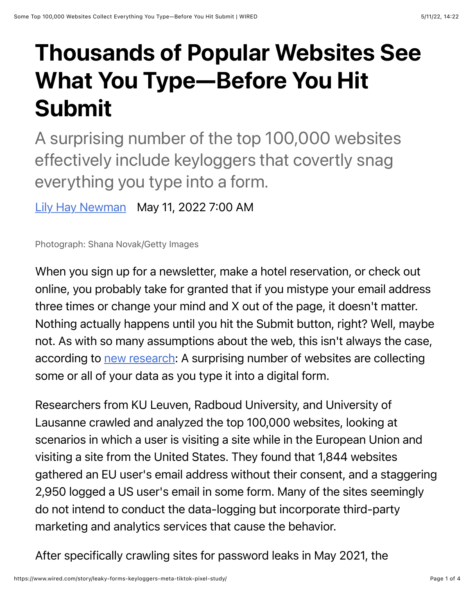## Thousands of Popular Websites See What You Type—Before You Hit Submit

A surprising number of the top 100,000 websites effectively include keyloggers that covertly snag everything you type into a form.

[Lily Hay Newman](https://www.wired.com/author/lily-hay-newman) May 11, 2022 7:00 AM

Photograph: Shana Novak/Getty Images

When you sign up for a newsletter, make a hotel reservation, or check out online, you probably take for granted that if you mistype your email address three times or change your mind and X out of the page, it doesn't matter. Nothing actually happens until you hit the Submit button, right? Well, maybe not. As with so many assumptions about the web, this isn't always the case, according to [new research:](https://homes.esat.kuleuven.be/~asenol/leaky-forms/) A surprising number of websites are collecting some or all of your data as you type it into a digital form.

Researchers from KU Leuven, Radboud University, and University of Lausanne crawled and analyzed the top 100,000 websites, looking at scenarios in which a user is visiting a site while in the European Union and visiting a site from the United States. They found that 1,844 websites gathered an EU user's email address without their consent, and a staggering 2,950 logged a US user's email in some form. Many of the sites seemingly do not intend to conduct the data-logging but incorporate third-party marketing and analytics services that cause the behavior.

After specifically crawling sites for password leaks in May 2021, the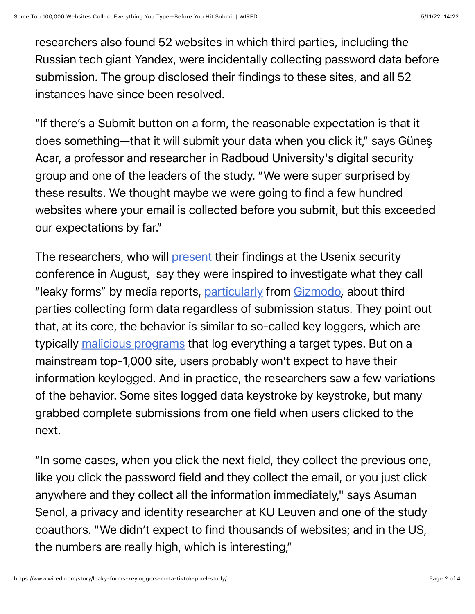researchers also found 52 websites in which third parties, including the Russian tech giant Yandex, were incidentally collecting password data before submission. The group disclosed their findings to these sites, and all 52 instances have since been resolved.

"If there's a Submit button on a form, the reasonable expectation is that it does something—that it will submit your data when you click it," says Güneş Acar, a professor and researcher in Radboud University's digital security group and one of the leaders of the study. "We were super surprised by these results. We thought maybe we were going to find a few hundred websites where your email is collected before you submit, but this exceeded our expectations by far."

The researchers, who will [present](https://www.usenix.org/conference/usenixsecurity22/presentation/senol) their findings at the Usenix security conference in August, say they were inspired to investigate what they call "leaky forms" by media reports, [particularly](https://gizmodo.com/before-you-hit-submit-this-company-has-already-logge-1795906081) from [Gizmodo](https://gizmodo.com/be-warned-customer-service-agents-can-see-what-youre-t-1830688119)*,* about third parties collecting form data regardless of submission status. They point out that, at its core, the behavior is similar to so-called key loggers, which are typically [malicious programs](https://www.wired.com/story/ios-macos-hacks-hong-kong-watering-hole/) that log everything a target types. But on a mainstream top-1,000 site, users probably won't expect to have their information keylogged. And in practice, the researchers saw a few variations of the behavior. Some sites logged data keystroke by keystroke, but many grabbed complete submissions from one field when users clicked to the next.

"In some cases, when you click the next field, they collect the previous one, like you click the password field and they collect the email, or you just click anywhere and they collect all the information immediately," says Asuman Senol, a privacy and identity researcher at KU Leuven and one of the study coauthors. "We didn't expect to find thousands of websites; and in the US, the numbers are really high, which is interesting,"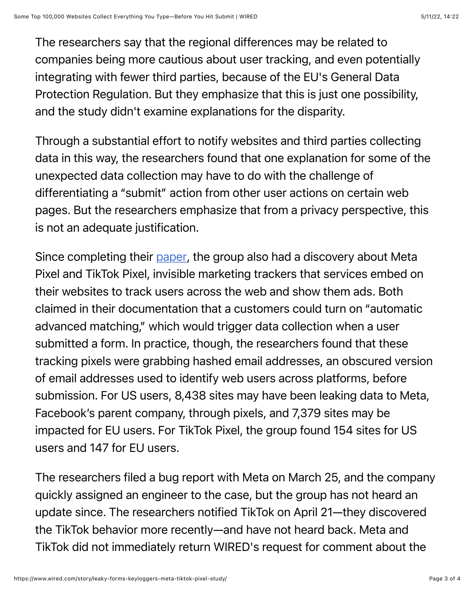The researchers say that the regional differences may be related to companies being more cautious about user tracking, and even potentially integrating with fewer third parties, because of the EU's General Data Protection Regulation. But they emphasize that this is just one possibility, and the study didn't examine explanations for the disparity.

Through a substantial effort to notify websites and third parties collecting data in this way, the researchers found that one explanation for some of the unexpected data collection may have to do with the challenge of differentiating a "submit" action from other user actions on certain web pages. But the researchers emphasize that from a privacy perspective, this is not an adequate justification.

Since completing their [paper,](https://homes.esat.kuleuven.be/~asenol/leaky-forms/leaky-forms-usenix-sec22.pdf) the group also had a discovery about Meta Pixel and TikTok Pixel, invisible marketing trackers that services embed on their websites to track users across the web and show them ads. Both claimed in their documentation that a customers could turn on "automatic advanced matching," which would trigger data collection when a user submitted a form. In practice, though, the researchers found that these tracking pixels were grabbing hashed email addresses, an obscured version of email addresses used to identify web users across platforms, before submission. For US users, 8,438 sites may have been leaking data to Meta, Facebook's parent company, through pixels, and 7,379 sites may be impacted for EU users. For TikTok Pixel, the group found 154 sites for US users and 147 for EU users.

The researchers filed a bug report with Meta on March 25, and the company quickly assigned an engineer to the case, but the group has not heard an update since. The researchers notified TikTok on April 21—they discovered the TikTok behavior more recently—and have not heard back. Meta and TikTok did not immediately return WIRED's request for comment about the